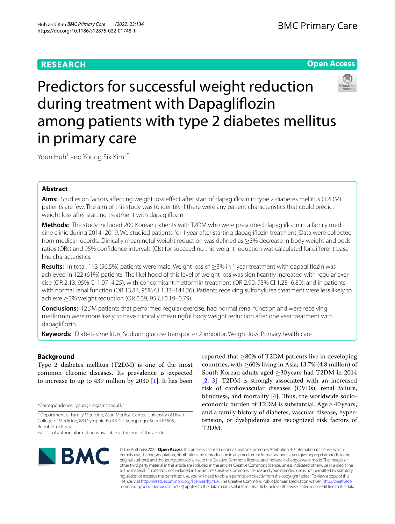# **RESEARCH**

# **Open Access**



# Predictors for successful weight reduction during treatment with Dapaglifozin among patients with type 2 diabetes mellitus in primary care

Youn Huh<sup>1</sup> and Young Sik Kim<sup>2\*</sup>

# **Abstract**

**Aims:** Studies on factors afecting weight loss efect after start of dapaglifozin in type 2 diabetes mellitus (T2DM) patients are few. The aim of this study was to identify if there were any patient characteristics that could predict weight loss after starting treatment with dapaglifozin.

**Methods:** The study included 200 Korean patients with T2DM who were prescribed dapaglifozin in a family medicine clinic during 2014–2019. We studied patients for 1 year after starting dapaglifozin treatment. Data were collected from medical records. Clinically meaningful weight reduction was defned as ≥3% decrease in body weight and odds ratios (ORs) and 95% confidence intervals (CIs) for succeeding this weight reduction was calculated for different baseline characteristics.

**Results:** In total, 113 (56.5%) patients were male. Weight loss of ≥3% in 1 year treatment with dapaglifozin was achieved in 122 (61%) patients. The likelihood of this level of weight loss was signifcantly increased with regular exercise (OR 2.13, 95% CI 1.07–4.25), with concomitant metformin treatment (OR 2.90, 95% CI 1.23–6.80), and in patients with normal renal function (OR 13.84, 95% CI 1.33–144.26). Patients receiving sulfonylurea treatment were less likely to achieve ≥3% weight reduction (OR 0.39, 95 CI 0.19–0.79).

**Conclusions:** T2DM patients that performed regular exercise, had normal renal function and were receiving metformin were more likely to have clinically meaningful body weight reduction after one year treatment with dapaglifozin.

**Keywords:** Diabetes mellitus, Sodium-glucose transporter 2 inhibitor, Weight loss, Primary health care

## **Background**

Type 2 diabetes mellitus (T2DM) is one of the most common chronic diseases. Its prevalence is expected to increase to up to 439 million by 2030 [[1\]](#page-6-0). It has been

\*Correspondence: youngkim@amc.seoul.kr

Full list of author information is available at the end of the article



reported that  $\geq$ 80% of T2DM patients live in developing countries, with  $\geq$  60% living in Asia; 13.7% (4.8 million) of South Korean adults aged ≥30years had T2DM in 2014 [[2,](#page-6-1) [3\]](#page-6-2). T2DM is strongly associated with an increased risk of cardiovascular diseases (CVDs), renal failure, blindness, and mortality  $[4]$  $[4]$ . Thus, the worldwide socioeconomic burden of T2DM is substantial. Age  $\geq$  40 years, and a family history of diabetes, vascular disease, hypertension, or dyslipidemia are recognized risk factors of T2DM.

© The Author(s) 2022. **Open Access** This article is licensed under a Creative Commons Attribution 4.0 International License, which permits use, sharing, adaptation, distribution and reproduction in any medium or format, as long as you give appropriate credit to the original author(s) and the source, provide a link to the Creative Commons licence, and indicate if changes were made. The images or other third party material in this article are included in the article's Creative Commons licence, unless indicated otherwise in a credit line to the material. If material is not included in the article's Creative Commons licence and your intended use is not permitted by statutory regulation or exceeds the permitted use, you will need to obtain permission directly from the copyright holder. To view a copy of this licence, visit [http://creativecommons.org/licenses/by/4.0/.](http://creativecommons.org/licenses/by/4.0/) The Creative Commons Public Domain Dedication waiver ([http://creativeco](http://creativecommons.org/publicdomain/zero/1.0/) [mmons.org/publicdomain/zero/1.0/](http://creativecommons.org/publicdomain/zero/1.0/)) applies to the data made available in this article, unless otherwise stated in a credit line to the data.

<sup>&</sup>lt;sup>2</sup> Department of Family Medicine, Asan Medical Center, University of Ulsan College of Medicine, 88 Olymphic-Ro 43-Gil, Songpa-gu, Seoul 05505, Republic of Korea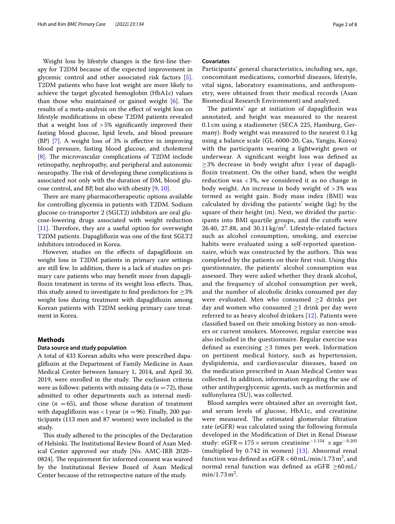Weight loss by lifestyle changes is the frst-line therapy for T2DM because of the expected improvement in glycemic control and other associated risk factors [\[5](#page-6-4)]. T2DM patients who have lost weight are more likely to achieve the target glycated hemoglobin (HbA1c) values than those who maintained or gained weight  $[6]$  $[6]$ . The results of a meta-analysis on the efect of weight loss on lifestyle modifcations in obese T2DM patients revealed that a weight loss of  $>5\%$  significantly improved their fasting blood glucose, lipid levels, and blood pressure (BP) [[7\]](#page-6-6). A weight loss of 3% is efective in improving blood pressure, fasting blood glucose, and cholesterol [[8\]](#page-6-7). The microvascular complications of T2DM include retinopathy, nephropathy, and peripheral and autonomic neuropathy. The risk of developing these complications is associated not only with the duration of DM, blood glucose control, and BP, but also with obesity [[9,](#page-6-8) [10](#page-6-9)].

There are many pharmacotherapeutic options available for controlling glycemia in patients with T2DM. Sodium glucose co-transporter 2 (SGLT2) inhibitors are oral glucose-lowering drugs associated with weight reduction  $[11]$  $[11]$ . Therefore, they are a useful option for overweight T2DM patients. Dapaglifozin was one of the frst SGLT2 inhibitors introduced in Korea.

However, studies on the efects of dapaglifozin on weight loss in T2DM patients in primary care settings are still few. In addition, there is a lack of studies on primary care patients who may beneft more from dapagliflozin treatment in terms of its weight loss effects. Thus, this study aimed to investigate to find predictors for  $\geq$ 3% weight loss during treatment with dapaglifozin among Korean patients with T2DM seeking primary care treatment in Korea.

## **Methods**

## **Data source and study population**

A total of 433 Korean adults who were prescribed dapaglifozin at the Department of Family Medicine in Asan Medical Center between January 1, 2014, and April 30, 2019, were enrolled in the study. The exclusion criteria were as follows: patients with missing data  $(n = 72)$ , those admitted to other departments such as internal medicine  $(n = 65)$ , and those whose duration of treatment with dapagliflozin was  $\langle 1 \rangle$  year ( $n = 96$ ). Finally, 200 participants (113 men and 87 women) were included in the study.

This study adhered to the principles of the Declaration of Helsinki. The Institutional Review Board of Asan Medical Center approved our study [No. AMC-IRB 2020– 0824]. The requirement for informed consent was waived by the Institutional Review Board of Asan Medical Center because of the retrospective nature of the study.

## **Covariates**

Participants' general characteristics, including sex, age, concomitant medications, comorbid diseases, lifestyle, vital signs, laboratory examinations, and anthropometry, were obtained from their medical records (Asan Biomedical Research Environment) and analyzed.

The patients' age at initiation of dapagliflozin was annotated, and height was measured to the nearest 0.1 cm using a stadiometer (SECA 225, Hamburg, Germany). Body weight was measured to the nearest 0.1 kg using a balance scale (GL-6000-20, Cas, Yangju, Korea) with the participants wearing a lightweight gown or underwear. A signifcant weight loss was defned as ≥3% decrease in body weight after 1 year of dapaglifozin treatment. On the other hand, when the weight reduction was < 3%, we considered it as no change in body weight. An increase in body weight of > 3% was termed as weight gain. Body mass index (BMI) was calculated by dividing the patients' weight (kg) by the square of their height (m). Next, we divided the participants into BMI quartile groups, and the cutoffs were 26.40, 27.88, and  $30.11 \text{ kg/m}^2$ . Lifestyle-related factors such as alcohol consumption, smoking, and exercise habits were evaluated using a self-reported questionnaire, which was constructed by the authors. This was completed by the patients on their frst visit. Using this questionnaire, the patients' alcohol consumption was assessed. They were asked whether they drank alcohol, and the frequency of alcohol consumption per week, and the number of alcoholic drinks consumed per day were evaluated. Men who consumed  $\geq 2$  drinks per day and women who consumed  $\geq$ 1 drink per day were referred to as heavy alcohol drinkers [[12](#page-6-11)]. Patients were classifed based on their smoking history as non-smokers or current smokers. Moreover, regular exercise was also included in the questionnaire. Regular exercise was defined as exercising  $\geq$ 3 times per week. Information on pertinent medical history, such as hypertension, dyslipidemia, and cardiovascular diseases, based on the medication prescribed in Asan Medical Center was collected. In addition, information regarding the use of other antihyperglycemic agents, such as metformin and sulfonylurea (SU), was collected.

Blood samples were obtained after an overnight fast, and serum levels of glucose, HbA1c, and creatinine were measured. The estimated glomerular filtration rate (eGFR) was calculated using the following formula developed in the Modifcation of Diet in Renal Disease study: eGFR=175 × serum creatinine<sup>-1.154</sup> × age<sup>-0.203</sup> (multiplied by 0.742 in women) [[13\]](#page-6-12). Abnormal renal function was defined as  $eGFR < 60$  mL/min/1.73 m<sup>2</sup>, and normal renal function was defined as eGFR  $\geq 60$  mL/  $min/1.73 m<sup>2</sup>$ .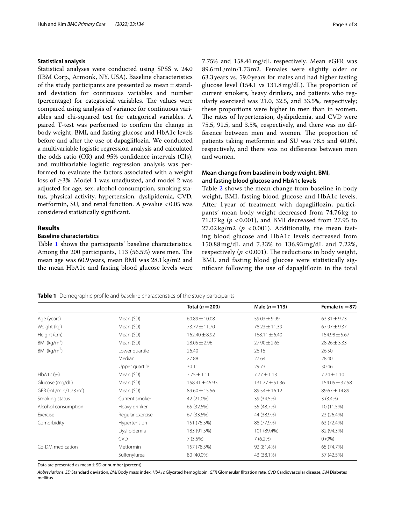### **Statistical analysis**

Statistical analyses were conducted using SPSS v. 24.0 (IBM Corp., Armonk, NY, USA). Baseline characteristics of the study participants are presented as mean  $\pm$  standard deviation for continuous variables and number (percentage) for categorical variables. The values were compared using analysis of variance for continuous variables and chi-squared test for categorical variables. A paired T-test was performed to confrm the change in body weight, BMI, and fasting glucose and HbA1c levels before and after the use of dapaglifozin. We conducted a multivariable logistic regression analysis and calculated the odds ratio (OR) and 95% confdence intervals (CIs), and multivariable logistic regression analysis was performed to evaluate the factors associated with a weight loss of ≥3%. Model 1 was unadjusted, and model 2 was adjusted for age, sex, alcohol consumption, smoking status, physical activity, hypertension, dyslipidemia, CVD, metformin, SU, and renal function. A *p-*value *<*0.05 was considered statistically signifcant.

## **Results**

## **Baseline characteristics**

Table [1](#page-2-0) shows the participants' baseline characteristics. Among the 200 participants, 113 (56.5%) were men. The mean age was 60.9years, mean BMI was 28.1kg/m2 and the mean HbA1c and fasting blood glucose levels were 7.75% and 158.41mg/dL respectively. Mean eGFR was 89.6mL/min/1.73m2. Females were slightly older or 63.3years vs. 59.0 years for males and had higher fasting glucose level  $(154.1 \text{ vs } 131.8 \text{ mg/dL})$ . The proportion of current smokers, heavy drinkers, and patients who regularly exercised was 21.0, 32.5, and 33.5%, respectively; these proportions were higher in men than in women. The rates of hypertension, dyslipidemia, and CVD were 75.5, 91.5, and 3.5%, respectively, and there was no difference between men and women. The proportion of patients taking metformin and SU was 78.5 and 40.0%, respectively, and there was no diference between men and women.

## **Mean change from baseline in body weight, BMI, and fasting blood glucose and HbA1c levels**

Table [2](#page-3-0) shows the mean change from baseline in body weight, BMI, fasting blood glucose and HbA1c levels. After 1 year of treatment with dapaglifozin, participants' mean body weight decreased from 74.76 kg to 71.37 kg (*p* < 0.001), and BMI decreased from 27.95 to  $27.02 \text{ kg/m2}$  ( $p < 0.001$ ). Additionally, the mean fasting blood glucose and HbA1c levels decreased from 150.88 mg/dL and 7.33% to 136.93 mg/dL and 7.22%, respectively ( $p < 0.001$ ). The reductions in body weight, BMI, and fasting blood glucose were statistically signifcant following the use of dapaglifozin in the total

## <span id="page-2-0"></span>**Table 1** Demographic profle and baseline characteristics of the study participants

**Total (***n* =**200) Male (***n* =**113) Female (***n* =**87)** Age (years) **Mean (SD)** 60.89±10.08 59.03±9.99 63.31±9.73 Weight (kg) Mean (SD) 73.77±11.70 78.23±11.39 67.97±9.37 Height (cm) Mean (SD) 162.40±8.92 168.11±6.40 154.98±5.67 BMI  $(kq/m<sup>2</sup>)$ (SD)  $Mean(SD)$  28.05 $\pm$ 2.96 27.90 $\pm$ 2.65 28.26 $\pm$ 3.33 BMI ( $\text{kg/m}^2$ ) ) Lower quartile 26.40 26.15 26.50 Median 27.88 27.64 28.40 Upper quartile 30.11 30.11 29.73 30.46 HbA1c (%) 6. Mean (SD) 6. Mean (SD) 7.75±1.11 7.77±1.13 7.74±1.10 Glucose (mg/dL) Mean (SD) 158.41±45.93 131.77±51.36 154.05±37.58 GFR (mL/min/1.73 m<sup>2</sup>) ) Mean (SD) 89.60±15.56 89.54±16.12 89.67±14.89 Smoking status **Smoker** Current smoker **42 (21.0%)** 39 (34.5%) 39 (34.5%) 3 (3.4%) Alcohol consumption Heavy drinker 65 (32.5%) 55 (48.7%) 10 (11.5%) Exercise 23 (26.4%) Regular exercise 67 (33.5%) 44 (38.9%) 23 (26.4%) Comorbidity Hypertension 151 (75.5%) 88 (77.9%) 63 (72.4%) Dyslipidemia 183 (91.5%) 101 (89.4%) 82 (94.3%)  $\text{CVD}$  7 (3.5%) 7 (3.5%) 7 (6.2%) 7 (6.2%) 0 (0%) Co-DM medication Metformin 157 (78.5%) 92 (81.4%) 65 (74.7%) Sulfonylurea 80 (40.0%) 43 (38.1%) 37 (42.5%)

Data are presented as mean  $\pm$  SD or number (percent)

*Abbreviations*: *SD* Standard deviation, *BMI* Body mass index, *HbA1c* Glycated hemoglobin, *GFR* Glomerular fltration rate, *CVD* Cardiovascular disease, *DM* Diabetes mellitus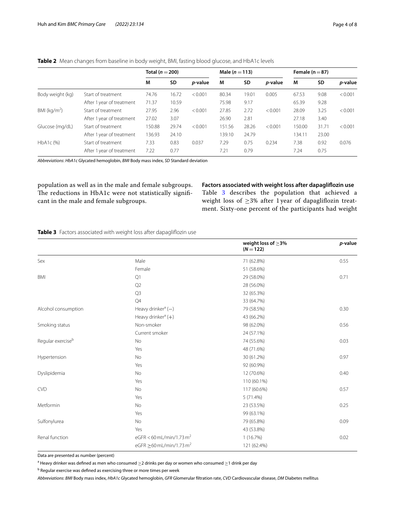|                  |                           | Total ( $n = 200$ ) |           | Male ( $n = 113$ ) |        |       | Female ( $n = 87$ ) |        |           |         |
|------------------|---------------------------|---------------------|-----------|--------------------|--------|-------|---------------------|--------|-----------|---------|
|                  |                           | M                   | <b>SD</b> | <i>p</i> -value    | M      | SD    | <i>p</i> -value     | M      | <b>SD</b> | p-value |
| Body weight (kg) | Start of treatment        | 74.76               | 16.72     | < 0.001            | 80.34  | 19.01 | 0.005               | 67.53  | 9.08      | < 0.001 |
|                  | After 1 year of treatment | 71.37               | 10.59     |                    | 75.98  | 9.17  |                     | 65.39  | 9.28      |         |
| BMI ( $kg/m2$ )  | Start of treatment        | 27.95               | 2.96      | < 0.001            | 27.85  | 2.72  | < 0.001             | 28.09  | 3.25      | < 0.001 |
|                  | After 1 year of treatment | 27.02               | 3.07      |                    | 26.90  | 2.81  |                     | 27.18  | 3.40      |         |
| Glucose (mg/dL)  | Start of treatment        | 150.88              | 29.74     | < 0.001            | 151.56 | 28.26 | < 0.001             | 150.00 | 31.71     | < 0.001 |
|                  | After 1 year of treatment | 136.93              | 24.10     |                    | 139.10 | 24.79 |                     | 134.11 | 23.00     |         |
| HbA1c (%)        | Start of treatment        | 7.33                | 0.83      | 0.037              | 7.29   | 0.75  | 0.234               | 7.38   | 0.92      | 0.076   |
|                  | After 1 year of treatment | 7.22                | 0.77      |                    | 7.21   | 0.79  |                     | 7.24   | 0.75      |         |

## <span id="page-3-0"></span>**Table 2** Mean changes from baseline in body weight, BMI, fasting blood glucose, and HbA1c levels

*Abbreviations*: *HbA1c* Glycated hemoglobin, *BMI* Body mass index, *SD* Standard deviation

population as well as in the male and female subgroups. The reductions in HbA1c were not statistically significant in the male and female subgroups.

# **Factors associated with weight loss after dapaglifozin use**

Table [3](#page-3-1) describes the population that achieved a weight loss of ≥3% after 1 year of dapaglifozin treatment. Sixty-one percent of the participants had weight

## <span id="page-3-1"></span>**Table 3** Factors associated with weight loss after dapagliflozin use

|                               |                                           | weight loss of $\geq$ 3%<br>$(N = 122)$ | p-value |
|-------------------------------|-------------------------------------------|-----------------------------------------|---------|
| Sex                           | Male                                      | 71 (62.8%)                              | 0.55    |
|                               | Female                                    | 51 (58.6%)                              |         |
| <b>BMI</b>                    | Q1                                        | 29 (58.0%)                              | 0.71    |
|                               | Q2                                        | 28 (56.0%)                              |         |
|                               | Q <sub>3</sub>                            | 32 (65.3%)                              |         |
|                               | Q <sub>4</sub>                            | 33 (64.7%)                              |         |
| Alcohol consumption           | Heavy drinker <sup>a</sup> $(-)$          | 79 (58.5%)                              | 0.30    |
|                               | Heavy drinker <sup>a</sup> (+)            | 43 (66.2%)                              |         |
| Smoking status                | Non-smoker                                | 98 (62.0%)                              | 0.56    |
|                               | Current smoker                            | 24 (57.1%)                              |         |
| Regular exercise <sup>b</sup> | No                                        | 74 (55.6%)                              | 0.03    |
|                               | Yes                                       | 48 (71.6%)                              |         |
| Hypertension                  | No                                        | 30 (61.2%)                              | 0.97    |
|                               | Yes                                       | 92 (60.9%)                              |         |
| Dyslipidemia                  | No                                        | 12 (70.6%)                              | 0.40    |
|                               | Yes                                       | 110 (60.1%)                             |         |
| <b>CVD</b>                    | No                                        | 117 (60.6%)                             | 0.57    |
|                               | Yes                                       | 5 (71.4%)                               |         |
| Metformin                     | No                                        | 23 (53.5%)                              | 0.25    |
|                               | Yes                                       | 99 (63.1%)                              |         |
| Sulfonylurea                  | No                                        | 79 (65.8%)                              | 0.09    |
|                               | Yes                                       | 43 (53.8%)                              |         |
| Renal function                | eGFR < 60 mL/min/1.73 m <sup>2</sup>      | 1(16.7%)                                | 0.02    |
|                               | eGFR $\geq$ 60 mL/min/1.73 m <sup>2</sup> | 121 (62.4%)                             |         |
|                               |                                           |                                         |         |

Data are presented as number (percent)

 $^{\rm a}$  Heavy drinker was defined as men who consumed  $\geq$ 2 drinks per day or women who consumed  $\geq$ 1 drink per day

<sup>b</sup> Regular exercise was defined as exercising three or more times per week

*Abbreviations*: *BMI* Body mass index, *HbA1c* Glycated hemoglobin, *GFR* Glomerular fltration rate, *CVD* Cardiovascular disease, *DM* Diabetes mellitus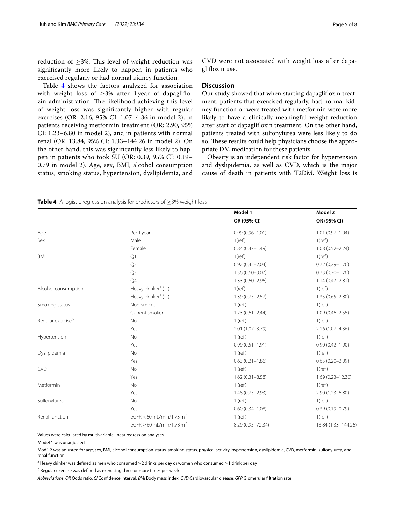reduction of  $\geq$ 3%. This level of weight reduction was signifcantly more likely to happen in patients who exercised regularly or had normal kidney function.

Table [4](#page-4-0) shows the factors analyzed for association with weight loss of  $\geq$ 3% after 1 year of dapagliflozin administration. The likelihood achieving this level of weight loss was signifcantly higher with regular exercises (OR: 2.16, 95% CI: 1.07–4.36 in model 2), in patients receiving metformin treatment (OR: 2.90, 95% CI: 1.23–6.80 in model 2), and in patients with normal renal (OR: 13.84, 95% CI: 1.33–144.26 in model 2). On the other hand, this was signifcantly less likely to happen in patients who took SU (OR: 0.39, 95% CI: 0.19– 0.79 in model 2). Age, sex, BMI, alcohol consumption status, smoking status, hypertension, dyslipidemia, and

CVD were not associated with weight loss after dapaglifozin use.

## **Discussion**

Our study showed that when starting dapaglifozin treatment, patients that exercised regularly, had normal kidney function or were treated with metformin were more likely to have a clinically meaningful weight reduction after start of dapaglifozin treatment. On the other hand, patients treated with sulfonylurea were less likely to do so. These results could help physicians choose the appropriate DM medication for these patients.

Obesity is an independent risk factor for hypertension and dyslipidemia, as well as CVD, which is the major cause of death in patients with T2DM. Weight loss is

<span id="page-4-0"></span>

| <b>Table 4</b> A logistic regression analysis for predictors of $\geq$ 3% weight loss |
|---------------------------------------------------------------------------------------|
|---------------------------------------------------------------------------------------|

|                               |                                        | Model 1             | Model 2              |
|-------------------------------|----------------------------------------|---------------------|----------------------|
|                               |                                        | OR (95% CI)         | OR (95% CI)          |
| Age                           | Per 1 year                             | $0.99(0.96 - 1.01)$ | $1.01(0.97 - 1.04)$  |
| Sex                           | Male                                   | $1$ (ref.)          | $1$ (ref.)           |
|                               | Female                                 | $0.84(0.47 - 1.49)$ | $1.08(0.52 - 2.24)$  |
| <b>BMI</b>                    | Q1                                     | $1$ (ref.)          | $1$ (ref.)           |
|                               | Q2                                     | $0.92(0.42 - 2.04)$ | $0.72(0.29 - 1.76)$  |
|                               | Q <sub>3</sub>                         | $1.36(0.60 - 3.07)$ | $0.73(0.30 - 1.76)$  |
|                               | Q4                                     | $1.33(0.60 - 2.96)$ | $1.14(0.47 - 2.81)$  |
| Alcohol consumption           | Heavy drinker <sup>a</sup> $(-)$       | $1$ (ref.)          | $1$ (ref.)           |
|                               | Heavy drinker <sup>a</sup> $(+)$       | $1.39(0.75 - 2.57)$ | $1.35(0.65 - 2.80)$  |
| Smoking status                | Non-smoker                             | $1$ (ref)           | $1$ (ref.)           |
|                               | Current smoker                         | $1.23(0.61 - 2.44)$ | $1.09(0.46 - 2.55)$  |
| Regular exercise <sup>b</sup> | No                                     | $1$ (ref)           | $1$ (ref.)           |
|                               | Yes                                    | 2.01 (1.07-3.79)    | 2.16 (1.07-4.36)     |
| Hypertension                  | No                                     | $1$ (ref)           | $1$ (ref.)           |
|                               | Yes                                    | $0.99(0.51 - 1.91)$ | $0.90(0.42 - 1.90)$  |
| Dyslipidemia                  | <b>No</b>                              | $1$ (ref)           | $1$ (ref.)           |
|                               | Yes                                    | $0.63(0.21 - 1.86)$ | $0.65(0.20 - 2.09)$  |
| <b>CVD</b>                    | <b>No</b>                              | $1$ (ref)           | $1$ (ref.)           |
|                               | Yes                                    | $1.62(0.31 - 8.58)$ | $1.69(0.23 - 12.30)$ |
| Metformin                     | <b>No</b>                              | $1$ (ref)           | $1$ (ref.)           |
|                               | Yes                                    | $1.48(0.75 - 2.93)$ | 2.90 (1.23-6.80)     |
| Sulfonylurea                  | No                                     | $1$ (ref)           | $1$ (ref.)           |
|                               | Yes                                    | $0.60(0.34 - 1.08)$ | $0.39(0.19 - 0.79)$  |
| Renal function                | eGFR < 60 mL/min/1.73 m <sup>2</sup>   | $1$ (ref)           | $1$ (ref.)           |
|                               | eGFR $>$ 60 mL/min/1.73 m <sup>2</sup> | 8.29 (0.95-72.34)   | 13.84 (1.33-144.26)  |

Values were calculated by multivariable linear regression analyses

Model 1 was unadjusted

Mod1 2 was adjusted for age, sex, BMI, alcohol consumption status, smoking status, physical activity, hypertension, dyslipidemia, CVD, metformin, sulfonylurea, and renal function

 $^{\rm a}$  Heavy drinker was defined as men who consumed  $\geq$ 2 drinks per day or women who consumed  $\geq$ 1 drink per day

<sup>b</sup> Regular exercise was defined as exercising three or more times per week

*Abbreviations*: *OR* Odds ratio, *CI* Confdence interval, *BMI* Body mass index, *CVD* Cardiovascular disease, *GFR* Glomerular fltration rate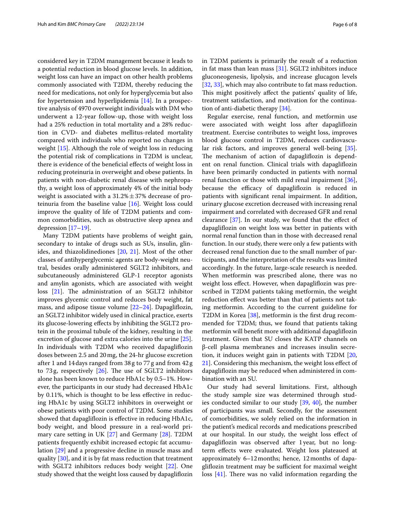considered key in T2DM management because it leads to a potential reduction in blood glucose levels. In addition, weight loss can have an impact on other health problems commonly associated with T2DM, thereby reducing the need for medications, not only for hyperglycemia but also for hypertension and hyperlipidemia [[14\]](#page-6-13). In a prospective analysis of 4970 overweight individuals with DM who underwent a 12-year follow-up, those with weight loss had a 25% reduction in total mortality and a 28% reduction in CVD- and diabetes mellitus-related mortality compared with individuals who reported no changes in weight [\[15\]](#page-6-14). Although the role of weight loss in reducing the potential risk of complications in T2DM is unclear, there is evidence of the benefcial efects of weight loss in reducing proteinuria in overweight and obese patients. In patients with non-diabetic renal disease with nephropathy, a weight loss of approximately 4% of the initial body weight is associated with a  $31.2% \pm 37%$  decrease of proteinuria from the baseline value [\[16\]](#page-6-15). Weight loss could improve the quality of life of T2DM patients and common comorbidities, such as obstructive sleep apnea and depression [\[17](#page-7-0)[–19\]](#page-7-1).

Many T2DM patients have problems of weight gain, secondary to intake of drugs such as SUs, insulin, glinides, and thiazolidinediones [\[20](#page-7-2), [21\]](#page-7-3). Most of the other classes of antihyperglycemic agents are body-weight neutral, besides orally administered SGLT2 inhibitors, and subcutaneously administered GLP-1 receptor agonists and amylin agonists, which are associated with weight loss  $[21]$  $[21]$ . The administration of an SGLT2 inhibitor improves glycemic control and reduces body weight, fat mass, and adipose tissue volume [[22](#page-7-4)[–24](#page-7-5)]. Dapaglifozin, an SGLT2 inhibitor widely used in clinical practice, exerts its glucose-lowering efects by inhibiting the SGLT2 protein in the proximal tubule of the kidney, resulting in the excretion of glucose and extra calories into the urine [\[25](#page-7-6)]. In individuals with T2DM who received dapaglifozin doses between 2.5 and 20mg, the 24-hr glucose excretion after 1 and 14days ranged from 38g to 77g and from 42g to 73g, respectively  $[26]$  $[26]$ . The use of SGLT2 inhibitors alone has been known to reduce HbA1c by 0.5–1%. However, the participants in our study had decreased HbA1c by 0.11%, which is thought to be less efective in reducing HbA1c by using SGLT2 inhibitors in overweight or obese patients with poor control of T2DM. Some studies showed that dapaglifozin is efective in reducing HbA1c, body weight, and blood pressure in a real-world primary care setting in UK [\[27](#page-7-8)] and Germany [\[28\]](#page-7-9). T2DM patients frequently exhibit increased ectopic fat accumulation [\[29](#page-7-10)] and a progressive decline in muscle mass and quality [\[30\]](#page-7-11), and it is by fat mass reduction that treatment with SGLT2 inhibitors reduces body weight [\[22\]](#page-7-4). One study showed that the weight loss caused by dapaglifozin in T2DM patients is primarily the result of a reduction in fat mass than lean mass  $[31]$  $[31]$ . SGLT2 inhibitors induce gluconeogenesis, lipolysis, and increase glucagon levels [[32,](#page-7-13) [33](#page-7-14)], which may also contribute to fat mass reduction. This might positively affect the patients' quality of life, treatment satisfaction, and motivation for the continuation of anti-diabetic therapy [\[34](#page-7-15)].

Regular exercise, renal function, and metformin use were associated with weight loss after dapaglifozin treatment. Exercise contributes to weight loss, improves blood glucose control in T2DM, reduces cardiovascular risk factors, and improves general well-being [\[35](#page-7-16)]. The mechanism of action of dapagliflozin is dependent on renal function. Clinical trials with dapaglifozin have been primarily conducted in patients with normal renal function or those with mild renal impairment [\[36](#page-7-17)], because the efficacy of dapagliflozin is reduced in patients with signifcant renal impairment. In addition, urinary glucose excretion decreased with increasing renal impairment and correlated with decreased GFR and renal clearance  $[37]$  $[37]$ . In our study, we found that the effect of dapaglifozin on weight loss was better in patients with normal renal function than in those with decreased renal function. In our study, there were only a few patients with decreased renal function due to the small number of participants, and the interpretation of the results was limited accordingly. In the future, large-scale research is needed. When metformin was prescribed alone, there was no weight loss efect. However, when dapaglifozin was prescribed in T2DM patients taking metformin, the weight reduction efect was better than that of patients not taking metformin. According to the current guideline for T2DM in Korea [\[38\]](#page-7-19), metformin is the first drug recommended for T2DM; thus, we found that patients taking metformin will beneft more with additional dapaglifozin treatment. Given that SU closes the KATP channels on β-cell plasma membranes and increases insulin secretion, it induces weight gain in patients with T2DM [[20](#page-7-2), [21\]](#page-7-3). Considering this mechanism, the weight loss efect of dapaglifozin may be reduced when administered in combination with an SU.

Our study had several limitations. First, although the study sample size was determined through studies conducted similar to our study [\[39](#page-7-20), [40\]](#page-7-21), the number of participants was small. Secondly, for the assessment of comorbidities, we solely relied on the information in the patient's medical records and medications prescribed at our hospital. In our study, the weight loss efect of dapaglifozin was observed after 1 year, but no longterm efects were evaluated. Weight loss plateaued at approximately 6–12months; hence, 12months of dapagliflozin treatment may be sufficient for maximal weight loss  $[41]$  $[41]$ . There was no valid information regarding the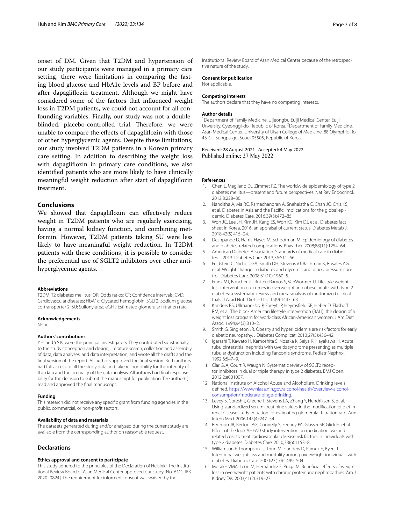onset of DM. Given that T2DM and hypertension of our study participants were managed in a primary care setting, there were limitations in comparing the fasting blood glucose and HbA1c levels and BP before and after dapaglifozin treatment. Although we might have considered some of the factors that infuenced weight loss in T2DM patients, we could not account for all confounding variables. Finally, our study was not a doubleblinded, placebo-controlled trial. Therefore, we were unable to compare the efects of dapaglifozin with those of other hyperglycemic agents. Despite these limitations, our study involved T2DM patients in a Korean primary care setting. In addition to describing the weight loss with dapaglifozin in primary care conditions, we also identifed patients who are more likely to have clinically meaningful weight reduction after start of dapaglifozin treatment.

## **Conclusions**

We showed that dapagliflozin can effectively reduce weight in T2DM patients who are regularly exercising, having a normal kidney function, and combining metformin. However, T2DM patients taking SU were less likely to have meaningful weight reduction. In T2DM patients with these conditions, it is possible to consider the preferential use of SGLT2 inhibitors over other antihyperglycemic agents.

#### **Abbreviations**

T2DM: T2 diabetes mellitus; OR: Odds ratios; CT: Confdence intervals; CVD: Cardiovascular diseases; HbA1c: Glycated hemoglobin; SGLT2: Sodium glucose co-transporter 2; SU: Sulfonylurea; eGFR: Estimated glomerular fltration rate.

#### **Acknowledgements**

None.

#### **Authors' contributions**

Y.H. and Y.S.K. were the principal investigators. They contributed substantially to the study conception and design, literature search, collection and assembly of data, data analyses, and data interpretation, and wrote all the drafts and the fnal version of the report. All authors approved the fnal version. Both authors had full access to all the study data and take responsibility for the integrity of the data and the accuracy of the data analysis. All authors had fnal responsibility for the decision to submit the manuscript for publication. The author(s) read and approved the fnal manuscript.

#### **Funding**

This research did not receive any specifc grant from funding agencies in the public, commercial, or non-proft sectors.

#### **Availability of data and materials**

The datasets generated during and/or analyzed during the current study are available from the corresponding author on reasonable request.

## **Declarations**

#### **Ethics approval and consent to participate**

This study adhered to the principles of the Declaration of Helsinki. The Institutional Review Board of Asan Medical Center approved our study [No. AMC-IRB 2020–0824]. The requirement for informed consent was waived by the

Institutional Review Board of Asan Medical Center because of the retrospective nature of the study.

## **Consent for publication**

Not applicable.

#### **Competing interests**

The authors declare that they have no competing interests.

#### **Author details**

<sup>1</sup> Department of Family Medicine, Uijeongbu Eulji Medical Center, Eulji Unversity, Gyeonggi-do, Republic of Korea. <sup>2</sup> Department of Family Medicine, Asan Medical Center, University of Ulsan College of Medicine, 88 Olymphic-Ro 43-Gil, Songpa-gu, Seoul 05505, Republic of Korea.

#### Received: 28 August 2021 Accepted: 4 May 2022 Published online: 27 May 2022

#### **References**

- <span id="page-6-0"></span>1. Chen L, Magliano DJ, Zimmet PZ. The worldwide epidemiology of type 2 diabetes mellitus—present and future perspectives. Nat Rev Endocrinol. 2012;8:228–36.
- <span id="page-6-1"></span>2. Nanditha A, Ma RC, Ramachandran A, Snehalatha C, Chan JC, Chia KS, et al. Diabetes in Asia and the Pacifc: implications for the global epidemic. Diabetes Care. 2016;39(3):472–85.
- <span id="page-6-2"></span>3. Won JC, Lee JH, Kim JH, Kang ES, Won KC, Kim DJ, et al. Diabetes fact sheet in Korea, 2016: an appraisal of current status. Diabetes Metab J. 2018;42(5):415–24.
- <span id="page-6-3"></span>4. Deshpande D, Harris-Hayes M, Schootman M. Epidemiology of diabetes and diabetes-related complications. Phys Ther. 2008;88(11):1254–64.
- <span id="page-6-4"></span>5. American Diabetes Association. Standards of medical care in diabetes—2013. Diabetes Care. 2013;36:S11–66.
- <span id="page-6-5"></span>6. Feldstein C, Nichols GA, Smith DH, Stevens VJ, Bachman K, Rosales AG, et al. Weight change in diabetes and glycemic and blood pressure control. Diabetes Care. 2008;31(10):1960–5.
- <span id="page-6-6"></span>7. Franz MJ, Boucher JL, Rutten-Ramos S, VanWormer JJ. Lifestyle weightloss intervention outcomes in overweight and obese adults with type 2 diabetes: a systematic review and meta-analysis of randomized clinical trials. J Acad Nutr Diet. 2015;115(9):1447–63.
- <span id="page-6-7"></span>8. Kanders BS, Ullmann-Joy P, Foreyt JP, Heymsfield SB, Heber D, Elashoff RM, et al. The block American lifestyle intervention (BALI): the design of a weight loss program for work-class African-American women. J Am Diet Assoc. 1994;94(3):310–2.
- <span id="page-6-8"></span>9. Smith G, Singleton JR. Obesity and hyperlipidemia are risk factors for early diabetic neuropathy. J Diabetes Complicat. 2013;27(5):436–42.
- <span id="page-6-9"></span>10. Igarashi T, Kawato H, Kamoshita S, Nosaka K, Seiya K, Hayakawa H. Acute tubulointerstitial nephritis with uveitis syndrome presenting as multiple tubular dysfunction including Fanconi's syndrome. Pediatr Nephrol. 1992;6:547–9.
- <span id="page-6-10"></span>11. Clar GJA, Court R, Waugh N. Systematic review of SGLT2 receptor inhibitors in dual or triple therapy in type 2 diabetes. BMJ Open. 2012;2:e001007.
- <span id="page-6-11"></span>12. National Institute on Alcohol Abuse and Alcoholism. Drinking levels defned, [https://www.niaaa.nih.gov/alcohol-health/overview-alcohol](https://www.niaaa.nih.gov/alcohol-health/overview-alcohol-consumption/moderate-binge-drinking)[consumption/moderate-binge-drinking](https://www.niaaa.nih.gov/alcohol-health/overview-alcohol-consumption/moderate-binge-drinking).
- <span id="page-6-12"></span>13. Levey S, Coresh J, Greene T, Stevens LA, Zhang Y, Hendriksen S, et al. Using standardized serum creatinine values in the modifcation of diet in renal disease study equation for estimating glomerular fltration rate. Ann Intern Med. 2006;145(4):247–54.
- <span id="page-6-13"></span>14. Redmon JB, Bertoni AG, Connelly S, Feeney PA, Glasser SP, Glick H, et al. Efect of the look AHEAD study intervention on medication use and related cost to treat cardiovascular disease risk factors in individuals with type 2 diabetes. Diabetes Care. 2010;33(6):1153–8.
- <span id="page-6-14"></span>15. Williamson F, Thompson TJ, Thun M, Flanders D, Pamuk E, Byers T. Intentional weight loss and mortality among overweight individuals with diabetes. Diabetes Care. 2000;23(10):1499–504.
- <span id="page-6-15"></span>16. Morales VMA, León M, Hernández E, Praga M. Beneficial effects of weight loss in overweight patients with chronic proteinuric nephropathies. Am J Kidney Dis. 2003;41(2):319–27.